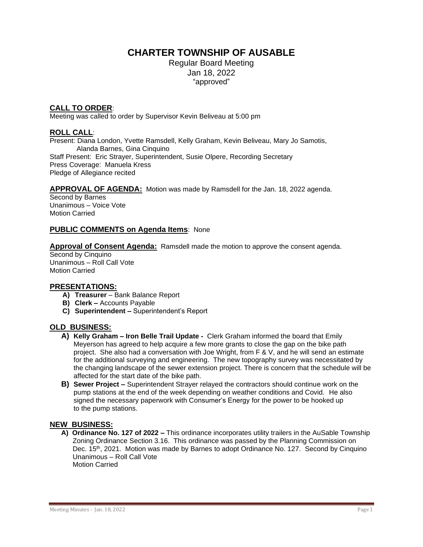# **CHARTER TOWNSHIP OF AUSABLE**

Regular Board Meeting Jan 18, 2022 "approved"

# **CALL TO ORDER**:

Meeting was called to order by Supervisor Kevin Beliveau at 5:00 pm

# **ROLL CALL**:

Present: Diana London, Yvette Ramsdell, Kelly Graham, Kevin Beliveau, Mary Jo Samotis, Alanda Barnes, Gina Cinquino Staff Present: Eric Strayer, Superintendent, Susie Olpere, Recording Secretary Press Coverage: Manuela Kress Pledge of Allegiance recited

#### **APPROVAL OF AGENDA:** Motion was made by Ramsdell for the Jan. 18, 2022 agenda.

Second by Barnes Unanimous – Voice Vote Motion Carried

# **PUBLIC COMMENTS on Agenda Items**: None

**Approval of Consent Agenda:** Ramsdell made the motion to approve the consent agenda.

Second by Cinquino Unanimous – Roll Call Vote Motion Carried

#### **PRESENTATIONS:**

- **A) Treasurer**  Bank Balance Report
- **B) Clerk –** Accounts Payable
- **C) Superintendent –** Superintendent's Report

#### **OLD BUSINESS:**

- **A) Kelly Graham – Iron Belle Trail Update -** Clerk Graham informed the board that Emily Meyerson has agreed to help acquire a few more grants to close the gap on the bike path project. She also had a conversation with Joe Wright, from F & V, and he will send an estimate for the additional surveying and engineering. The new topography survey was necessitated by the changing landscape of the sewer extension project. There is concern that the schedule will be affected for the start date of the bike path.
- **B) Sewer Project –** Superintendent Strayer relayed the contractors should continue work on the pump stations at the end of the week depending on weather conditions and Covid. He also signed the necessary paperwork with Consumer's Energy for the power to be hooked up to the pump stations.

#### **NEW BUSINESS:**

 **A) Ordinance No. 127 of 2022 –** This ordinance incorporates utility trailers in the AuSable Township Zoning Ordinance Section 3.16. This ordinance was passed by the Planning Commission on Dec. 15<sup>th</sup>, 2021. Motion was made by Barnes to adopt Ordinance No. 127. Second by Cinquino Unanimous – Roll Call Vote Motion Carried